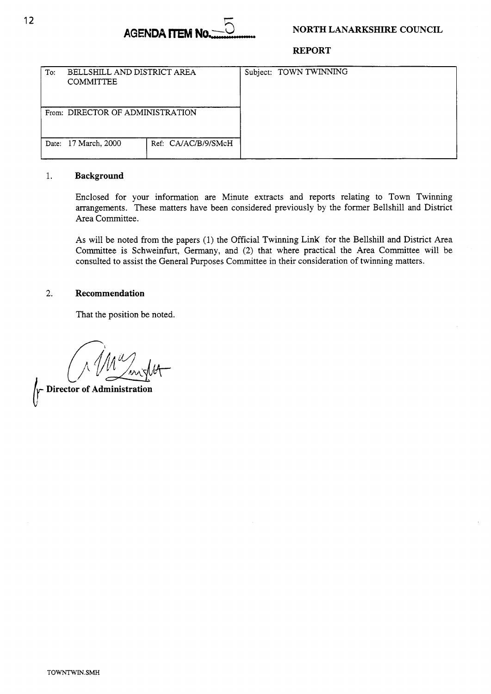

#### **REPORT**

| To: | BELLSHILL AND DISTRICT AREA<br><b>COMMITTEE</b> |                     |  | Subject: TOWN TWINNING |  |
|-----|-------------------------------------------------|---------------------|--|------------------------|--|
|     | From: DIRECTOR OF ADMINISTRATION                |                     |  |                        |  |
|     | Date: 17 March, 2000                            | Ref: CA/AC/B/9/SMcH |  |                        |  |

#### 1. **Background**

Enclosed for your information are Minute extracts and reports relating to Town Twinning arrangements. These matters have been considered previously by the former Bellshill and District Area Committee.

**As** will be noted from the papers (1) the Official Twinning LinK for the Bellshill and District Area Committee is Schweinfurt, Germany, and (2) that where practical the Area Committee will be consulted to assist the General Purposes Committee in their consideration of twinning matters.

### 2. **Recommendation**

That the position be noted.

**Director of Administration**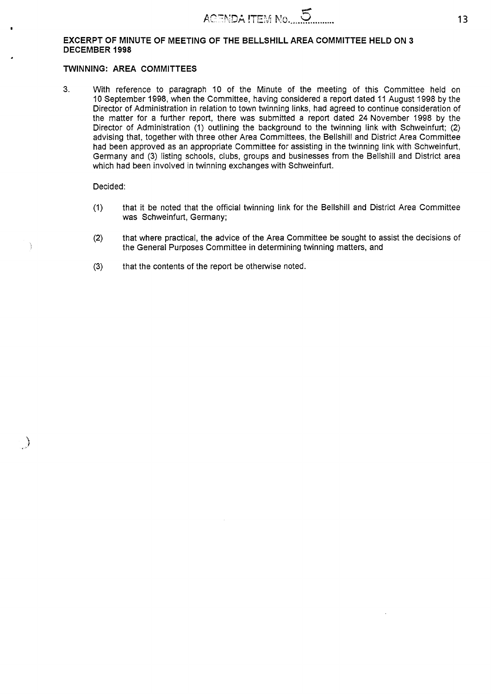#### **EXCERPT OF MINUTE OF MEETING OF THE BELLSHILL AREA COMMITTEE HELD ON 3 DECEMBER 1998**

#### **TWINNING: AREA COMMITTEES**

3. With reference to paragraph 10 of the Minute of the meeting of this Committee held on 10 September 1998, when the Committee, having considered a report dated 11 August 1998 by the Director of Administration in relation to town twinning links, had agreed to continue consideration of the matter for a further report, there was submitted a report dated **24** November 1998 by the Director of Administration (1) outlining the background to the twinning link with Schweinfurt; (2) advising that, together with three other Area Committees, the Bellshill and District Area Committee had been approved as an appropriate Committee for assisting in the twinning link with Schweinfurt, Germany and (3) listing schools, clubs, groups and businesses from the Bellshill and District area which had been involved in twinning exchanges with Schweinfurt.

#### Decided:

J,

 $\rightarrow$ 

- (1) that it be noted that the official twinning link for the Bellshill and District Area Committee was Schweinfurt, Germany;
- (2) that where practical, the advice of the Area Committee be sought to assist the decisions of the General Purposes Committee in determining twinning matters, and
- **(3)** that the contents of the report be otherwise noted.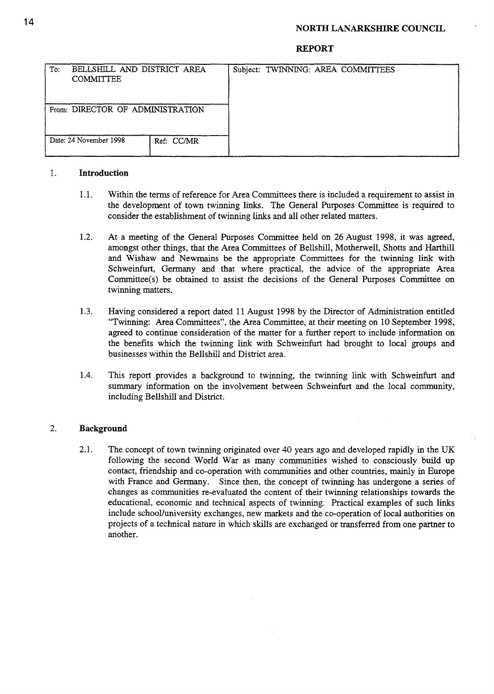#### **NORTH LANARKSHIRE COUNCIL**

#### **REPORT**

| To: | BELLSHILL AND DISTRICT AREA<br><b>COMMITTEE</b> |            |  | Subject: TWINNING: AREA COMMITTEES |
|-----|-------------------------------------------------|------------|--|------------------------------------|
|     | From: DIRECTOR OF ADMINISTRATION                |            |  |                                    |
|     | Date: 24 November 1998                          | Ref: CC/MR |  |                                    |

### 1. **Introduction**

- 1.1. Within the terms of reference for Area Committees there is included a requirement to assist in the development of town twinning links. The General Purposes Committee is required to consider the establishment of twinning links and all other related matters.
- 1.2. At a meeting of the General Purposes Committee held on *26* August 1998, it was agreed, amongst other things, that the Area Committees of Bellshill, Motherwell, Shotts and Harthill and Wishaw and Newmains be the appropriate Committees for the twinning link with Schweinfurt, Germany and that where practical, the advice of the appropriate Area Committee(s) be obtained to assist the decisions of the General Purposes Committee on twinning matters.
- 1.3. Having considered **a** report dated 11 August 1998 by the Director of Administration entitled "Twinning: Area Committees", the Area Committee, at their meeting on 10 September 1998, agreed to continue consideration of the matter for a further report to include information on the benefits which the twinning link with Schweinfurt had brought to local groups and businesses within the Bellshill and District area.
- 1.4. This report provides a background to twinning, the twinning link with Schweinfurt and summary information on the involvement between Schweinfurt and the local community, including Bellshill and District.

### 2. **Background**

2.1. The concept of town twinning originated over 40 years ago and developed rapidly in the UK following the second World War as many communities wished to consciously build up contact, friendship and co-operation with communities and other countries, mainly in Europe with France and Germany. Since then, the concept of twinning has undergone a series of changes **as** communities re-evaluated the content of their twinning relationships towards the educational, economic and technical aspects of twinning. Practical examples of such links include school/university exchanges, new markets and the co-operation of local authorities on projects of a technical nature in which skills are exchanged or transferred from one partner to another.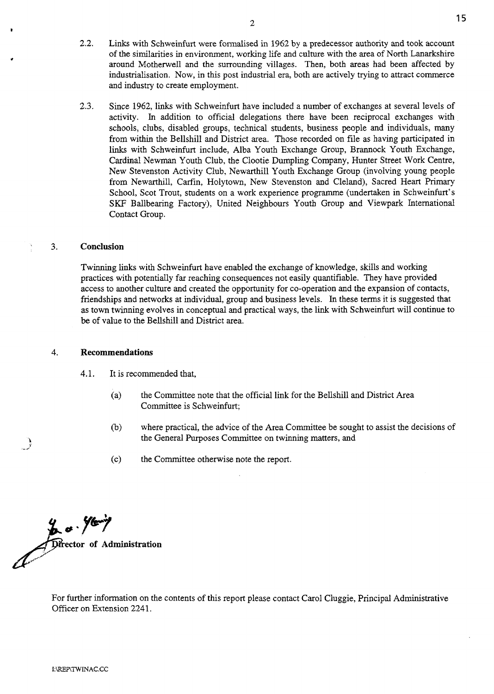**2.3.** Since 1962, links with Schweinfurt have included a number of exchanges at several levels of activity. In addition to official delegations there have been reciprocal exchanges with schools, clubs, disabled groups, technical students, business people and individuals, many from within the Bellshill and District area. Those recorded on file as having participated in links with Schweinfurt include, Alba Youth Exchange Group, Brannock Youth Exchange, Cardinal Newman Youth Club, the Clootie Dumpling Company, Hunter Street Work Centre, New Stevenston Activity Club, Newarthill Youth Exchange Group (involving young people from Newarthill, Carfin, Holytown, New Stevenston and Cleland), Sacred Heart Primary School, Scot Trout, students on a work experience programme (undertaken in Schweinfurt's SKF Ballbearing Factory), United Neighbours Youth Group and Viewpark International Contact Group.

### **3. Conclusion**

Twinning links with Schweinfurt have enabled the exchange of knowledge, skills and working practices with potentially **far** reaching consequences not easily quantifiable. They have provided access to another culture and created the opportunity for co-operation and the expansion of contacts, friendships and networks at individual, group and business levels. In these terms it is suggested that as town twinning evolves in conceptual and practical ways, the link with Schweinfurt will continue to be of value to the Bellshill and District area.

#### **4. Recommendations**

4.1. It is recommended that.

- (a) the Committee note that the official link for the Bellshill and District Area Committee is Schweinfurt;
- (b) where practical, the advice of the Area Committee be sought to assist the decisions of the General Purposes Committee on twinning matters, and
- (c) the Committee otherwise note the report.

**extractor of Administration** 

For further information on the contents of this report please contact Carol Cluggie, Principal Administrative Officer on Extension 2241.

and industry to create employment.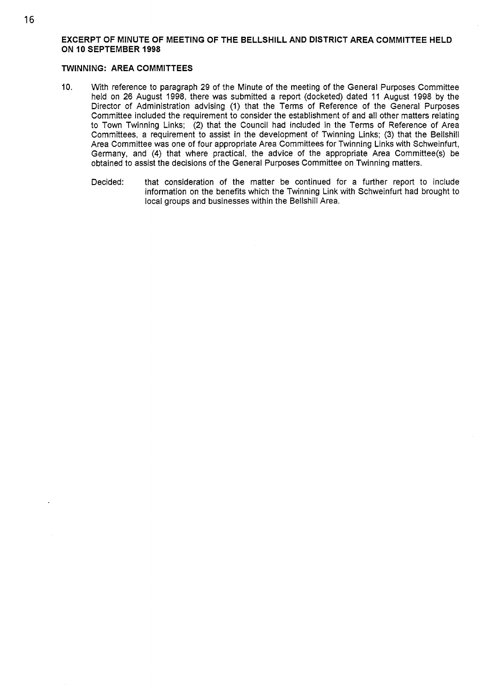### **EXCERPT OF MINUTE OF MEETING OF THE BELLSHILL AND DISTRICT AREA COMMITTEE HELD ON 10 SEPTEMBER 1998**

### **TWINNING: AREA COMMITTEES**

- 10. With reference to paragraph 29 of the Minute of the meeting of the General Purposes Committee held on 26 August 1998, there was submitted a report (docketed) dated 11 August 1998 by the Director of Administration advising **(1)** that the Terms of Reference of the General Purposes Committee included the requirement to consider the establishment of and all other matters relating to Town Twinning Links; (2) that the Council had included in the Terms of Reference of Area Committees, a requirement to assist in the development of Twinning Links; (3) that the Bellshill Area Committee was one of four appropriate Area Committees for Twinning Links with Schweinfurt, Germany, and **(4)** that where practical, the advice of the appropriate Area Committee(s) be obtained to assist the decisions of the General Purposes Committee on Twinning matters.
	- Decided: that consideration of the matter be continued for a further report to include information on the benefits which the Twinning Link with Schweinfurt had brought to local groups and businesses within the Bellshill Area.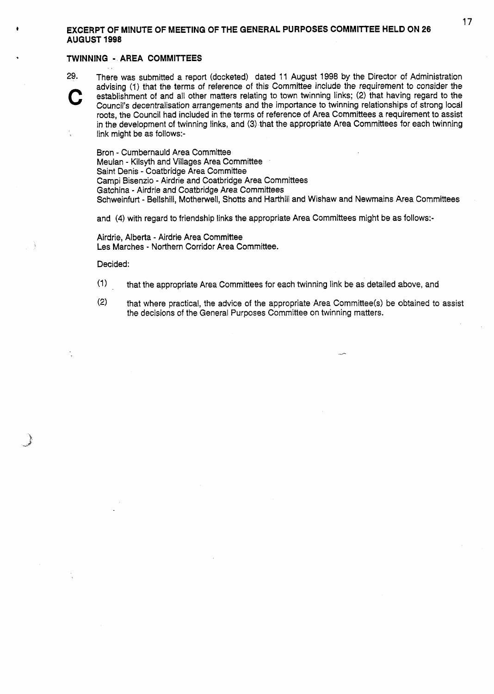# <sup>17</sup>**t EXCERPT OF MINUTE OF MEETING OF THE GENERAL PURPOSES COMMITTEE HELD ON 26 AUGUST 1998**

#### **TWINNING** - **AREA COMMITTEES**

**29. C** 

There was submitted a report (docketed) dated 11 August 1998 by the Director of Administration advising (1) that the terms of reference of this Committee include the requirement to consider the establishment of and all other matters relating to town twinning links; (2) that having regard to the Council's decentralisation arrangements and the importance to twinning relationships of strong local roots, the Council had included in the terms of reference of Area Committees a requirement to assist in the development of twinning links, and (3) that the appropriate Area Committees for each twinning link might be as follows:-

Bron - Cumbernauld Area Committee Meulan - Kilsyth and Villages Area Committee Saint Denis - Coatbridge Area Committee Campi Bisenzio - Airdrie and Coatbridge Area Committees Gatchina - Airdrie and Coatbridge Area Committees Schweinfurt - Bellshill, Motherwell, Shotts and Harthiil and Wishaw and Newmains Area Committees

and **(4)** with regard to friendship links the appropriate Area Committees might be as follows:-

Airdrie, Alberta - Airdrie Area Committee Les Marches - Northern Corridor Area Committee.

Decided:

- $(1)$ that the appropriate Area Committees for each twinning link be as detailed above, and
- **(2)**  that where practical, the advice of the appropriate Area Committee(s) be obtained to assist the decisions of the General Purposes Committee on twinning matters.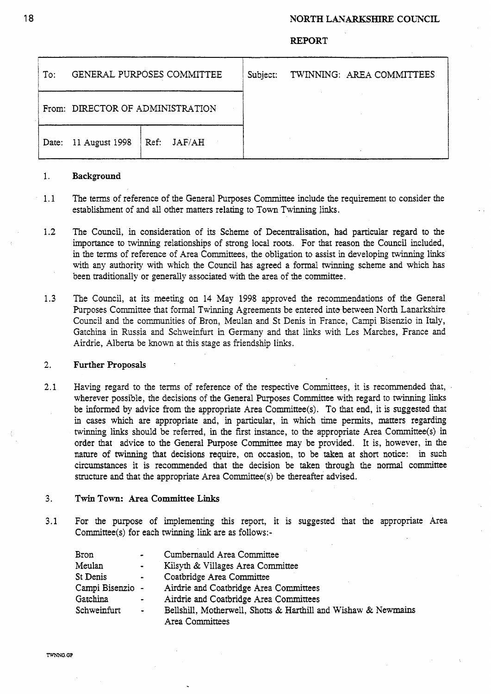## **NORTH LANARKSHIRE COUNCIL**

### **REPORT**

| To:                              | GENERAL PURPOSES COMMITTEE |                        | Subject: | TWINNING: AREA COMMITTEES |  |
|----------------------------------|----------------------------|------------------------|----------|---------------------------|--|
| From: DIRECTOR OF ADMINISTRATION |                            |                        |          |                           |  |
| Date:                            | 11 August 1998             | JAF/AH<br>$\vert$ Ref: |          |                           |  |

#### 1. **Background**

- 1.1 The **terms** of reference of the General Purposes Committee include the requirement to consider the establishment of and all other matters relating to Town Twinning links.
- **1.2**  The Council, in consideration of its Scheme of Decentralisation, had particular regard to the importance to twinning relationships of strong local roots. For that reason the Council included, in the terms of reference of Area Committees, the obligation to assist *in* developing twinning links with any authority with which the Council has agreed a formal **twinning** scheme and which has been traditionally or generally associated with the area of the committee.
- 1.3 The Council, at its meeting on 14 May 1998 approved the recommendations of the General Purposes Committee that formal Twinning Agreements be entered into between North Lanarkshire Council and the communities of Bron, Meulan and St Denis in France, Campi Bisenzio in Italy, Gatchina in Russia and Schweinfurt in Germany and that links with Les Marches, France and Airdrie, Alberta be known at this stage as friendship links.

#### **2.**  Further **Proposals**

2.1 Having regard to the terms of reference of the respective Committees, it is recommended that, wherever possible, the decisions of the General Purposes Committee with regard to twinning links be informed by advice from the appropriate Area Committee(s). To that end, it is suggested that in cases which are appropriate and, in particular, in which time permits, matters regarding twinning links should be referred, in the first instance, to the appropriate Area Committee(s) in order that advice to the General Purpose Committee may be provided. It is, however, in the nature of twinning that decisions require, on occasion, to **be** taken at short notice: in such circumstances it is recommended that the decision be taken through the **normal** committee structure and that the appropriate Area Committee(s) be thereafter advised.

#### 3. Twin **Town: Area** Committee **Links**

3.1 For the purpose of implementing this report, it is suggested that the appropriate Area Committee(s) for each twinning link are as follows:-

| Bron             | $\overline{\phantom{a}}$ | Cumbernauld Area Committee                                     |
|------------------|--------------------------|----------------------------------------------------------------|
| Meulan           | $\bullet$                | Kilsyth & Villages Area Committee                              |
| St Denis         | $\bullet$                | Coatbridge Area Committee                                      |
| Campi Bisenzio - |                          | Airdrie and Coatbridge Area Committees                         |
| Gatchina         | $\blacksquare$           | Airdrie and Coatbridge Area Committees                         |
| Schweinfurt      | $\bullet$                | Bellshill, Motherwell, Shotts & Harthill and Wishaw & Newmains |
|                  |                          | Area Committees                                                |